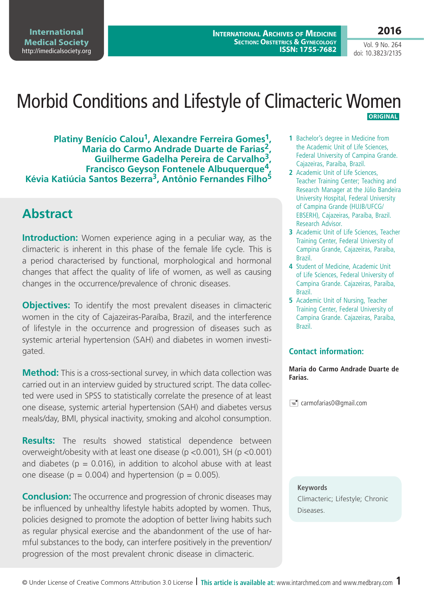**International Medical Society**  http://imedicalsociety.org

**International Archives of Medicine SECTION: OBSTETRICS & GYNECOLOGY ISSN: 1755-7682**

Vol. 9 No. 264 doi: 10.3823/2135

**2016**

## Morbid Conditions and Lifestyle of Climacteric Women  **ORIGINAL**

**Platiny Benício Calou1, Alexandre Ferreira Gomes1, Maria do Carmo Andrade Duarte de Farias2, Guilherme Gadelha Pereira de Carvalho3, Francisco Geyson Fontenele Albuquerque4, Kévia Katiúcia Santos Bezerra3, Antônio Fernandes Filho5**

#### **Abstract**

**Introduction:** Women experience aging in a peculiar way, as the climacteric is inherent in this phase of the female life cycle. This is a period characterised by functional, morphological and hormonal changes that affect the quality of life of women, as well as causing changes in the occurrence/prevalence of chronic diseases.

**Objectives:** To identify the most prevalent diseases in climacteric women in the city of Cajazeiras-Paraíba, Brazil, and the interference of lifestyle in the occurrence and progression of diseases such as systemic arterial hypertension (SAH) and diabetes in women investigated.

**Method:** This is a cross-sectional survey, in which data collection was carried out in an interview guided by structured script. The data collected were used in SPSS to statistically correlate the presence of at least one disease, systemic arterial hypertension (SAH) and diabetes versus meals/day, BMI, physical inactivity, smoking and alcohol consumption.

**Results:** The results showed statistical dependence between overweight/obesity with at least one disease (p <0.001), SH (p <0.001) and diabetes ( $p = 0.016$ ), in addition to alcohol abuse with at least one disease ( $p = 0.004$ ) and hypertension ( $p = 0.005$ ).

**Conclusion:** The occurrence and progression of chronic diseases may be influenced by unhealthy lifestyle habits adopted by women. Thus, policies designed to promote the adoption of better living habits such as regular physical exercise and the abandonment of the use of harmful substances to the body, can interfere positively in the prevention/ progression of the most prevalent chronic disease in climacteric.

- **1** Bachelor's degree in Medicine from the Academic Unit of Life Sciences, Federal University of Campina Grande. Cajazeiras, Paraíba, Brazil.
- **2** Academic Unit of Life Sciences, Teacher Training Center; Teaching and Research Manager at the Júlio Bandeira University Hospital, Federal University of Campina Grande (HUJB/UFCG/ EBSERH), Cajazeiras, Paraíba, Brazil. Research Advisor.
- **3** Academic Unit of Life Sciences, Teacher Training Center, Federal University of Campina Grande, Cajazeiras, Paraíba, Brazil.
- **4** Student of Medicine, Academic Unit of Life Sciences, Federal University of Campina Grande. Cajazeiras, Paraíba, Brazil.
- **5** Academic Unit of Nursing, Teacher Training Center, Federal University of Campina Grande. Cajazeiras, Paraíba, Brazil.

#### **Contact information:**

**Maria do Carmo Andrade Duarte de Farias.**

carmofarias0@gmail.com

**Keywords** Climacteric; Lifestyle; Chronic Diseases.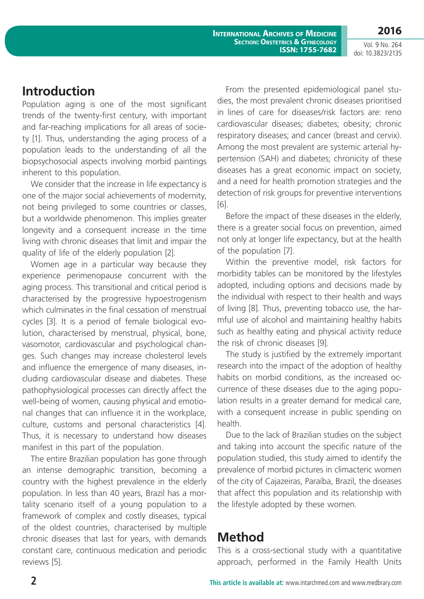**2016** Vol. 9 No. 264

**International Archives of Medicine Section: Obstetrics & Gynecology ISSN: 1755-7682**

doi: 10.3823/2135

## **Introduction**

Population aging is one of the most significant trends of the twenty-first century, with important and far-reaching implications for all areas of society [1]. Thus, understanding the aging process of a population leads to the understanding of all the biopsychosocial aspects involving morbid paintings inherent to this population.

We consider that the increase in life expectancy is one of the major social achievements of modernity, not being privileged to some countries or classes, but a worldwide phenomenon. This implies greater longevity and a consequent increase in the time living with chronic diseases that limit and impair the quality of life of the elderly population [2].

Women age in a particular way because they experience perimenopause concurrent with the aging process. This transitional and critical period is characterised by the progressive hypoestrogenism which culminates in the final cessation of menstrual cycles [3]. It is a period of female biological evolution, characterised by menstrual, physical, bone, vasomotor, cardiovascular and psychological changes. Such changes may increase cholesterol levels and influence the emergence of many diseases, including cardiovascular disease and diabetes. These pathophysiological processes can directly affect the well-being of women, causing physical and emotional changes that can influence it in the workplace, culture, customs and personal characteristics [4]. Thus, it is necessary to understand how diseases manifest in this part of the population.

The entire Brazilian population has gone through an intense demographic transition, becoming a country with the highest prevalence in the elderly population. In less than 40 years, Brazil has a mortality scenario itself of a young population to a framework of complex and costly diseases, typical of the oldest countries, characterised by multiple chronic diseases that last for years, with demands constant care, continuous medication and periodic reviews [5].

From the presented epidemiological panel studies, the most prevalent chronic diseases prioritised in lines of care for diseases/risk factors are: reno cardiovascular diseases; diabetes; obesity; chronic respiratory diseases; and cancer (breast and cervix). Among the most prevalent are systemic arterial hypertension (SAH) and diabetes; chronicity of these diseases has a great economic impact on society, and a need for health promotion strategies and the detection of risk groups for preventive interventions [6].

Before the impact of these diseases in the elderly, there is a greater social focus on prevention, aimed not only at longer life expectancy, but at the health of the population [7].

Within the preventive model, risk factors for morbidity tables can be monitored by the lifestyles adopted, including options and decisions made by the individual with respect to their health and ways of living [8]. Thus, preventing tobacco use, the harmful use of alcohol and maintaining healthy habits such as healthy eating and physical activity reduce the risk of chronic diseases [9].

The study is justified by the extremely important research into the impact of the adoption of healthy habits on morbid conditions, as the increased occurrence of these diseases due to the aging population results in a greater demand for medical care, with a consequent increase in public spending on health.

Due to the lack of Brazilian studies on the subject and taking into account the specific nature of the population studied, this study aimed to identify the prevalence of morbid pictures in climacteric women of the city of Cajazeiras, Paraíba, Brazil, the diseases that affect this population and its relationship with the lifestyle adopted by these women.

# **Method**

This is a cross-sectional study with a quantitative approach, performed in the Family Health Units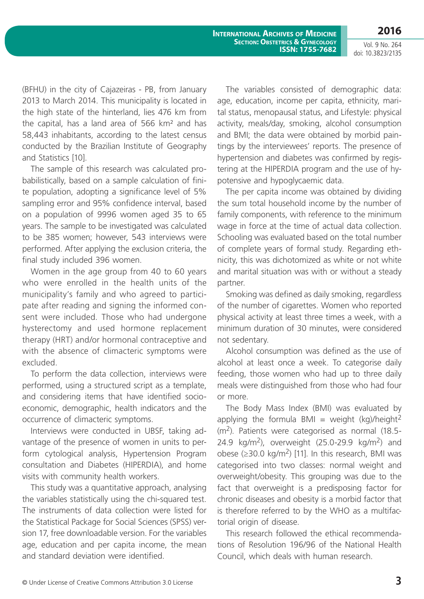**2016**

Vol. 9 No. 264 doi: 10.3823/2135

(BFHU) in the city of Cajazeiras - PB, from January 2013 to March 2014. This municipality is located in the high state of the hinterland, lies 476 km from the capital, has a land area of 566 km² and has 58,443 inhabitants, according to the latest census conducted by the Brazilian Institute of Geography and Statistics [10].

The sample of this research was calculated probabilistically, based on a sample calculation of finite population, adopting a significance level of 5% sampling error and 95% confidence interval, based on a population of 9996 women aged 35 to 65 years. The sample to be investigated was calculated to be 385 women; however, 543 interviews were performed. After applying the exclusion criteria, the final study included 396 women.

Women in the age group from 40 to 60 years who were enrolled in the health units of the municipality's family and who agreed to participate after reading and signing the informed consent were included. Those who had undergone hysterectomy and used hormone replacement therapy (HRT) and/or hormonal contraceptive and with the absence of climacteric symptoms were excluded.

To perform the data collection, interviews were performed, using a structured script as a template, and considering items that have identified socioeconomic, demographic, health indicators and the occurrence of climacteric symptoms.

Interviews were conducted in UBSF, taking advantage of the presence of women in units to perform cytological analysis, Hypertension Program consultation and Diabetes (HIPERDIA), and home visits with community health workers.

This study was a quantitative approach, analysing the variables statistically using the chi-squared test. The instruments of data collection were listed for the Statistical Package for Social Sciences (SPSS) version 17, free downloadable version. For the variables age, education and per capita income, the mean and standard deviation were identified.

The variables consisted of demographic data: age, education, income per capita, ethnicity, marital status, menopausal status, and Lifestyle: physical activity, meals/day, smoking, alcohol consumption and BMI; the data were obtained by morbid paintings by the interviewees' reports. The presence of hypertension and diabetes was confirmed by registering at the HIPERDIA program and the use of hypotensive and hypoglycaemic data.

The per capita income was obtained by dividing the sum total household income by the number of family components, with reference to the minimum wage in force at the time of actual data collection. Schooling was evaluated based on the total number of complete years of formal study. Regarding ethnicity, this was dichotomized as white or not white and marital situation was with or without a steady partner.

Smoking was defined as daily smoking, regardless of the number of cigarettes. Women who reported physical activity at least three times a week, with a minimum duration of 30 minutes, were considered not sedentary.

Alcohol consumption was defined as the use of alcohol at least once a week. To categorise daily feeding, those women who had up to three daily meals were distinguished from those who had four or more.

The Body Mass Index (BMI) was evaluated by applying the formula BMI = weight  $(kq)/\text{height}^2$  $(m<sup>2</sup>)$ . Patients were categorised as normal (18.5-24.9 kg/m<sup>2</sup>), overweight  $(25.0-29.9 \text{ kg/m}^2)$  and obese ( $≥$ 30.0 kg/m<sup>2</sup>) [11]. In this research, BMI was categorised into two classes: normal weight and overweight/obesity. This grouping was due to the fact that overweight is a predisposing factor for chronic diseases and obesity is a morbid factor that is therefore referred to by the WHO as a multifactorial origin of disease.

This research followed the ethical recommendations of Resolution 196/96 of the National Health Council, which deals with human research.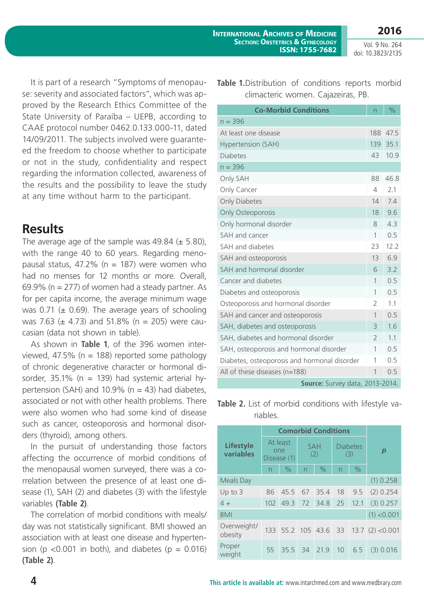Vol. 9 No. 264 doi: 10.3823/2135

It is part of a research "Symptoms of menopause: severity and associated factors", which was approved by the Research Ethics Committee of the State University of Paraíba – UEPB, according to CAAE protocol number 0462.0.133.000-11, dated 14/09/2011. The subjects involved were guaranteed the freedom to choose whether to participate or not in the study, confidentiality and respect regarding the information collected, awareness of the results and the possibility to leave the study at any time without harm to the participant.

## **Results**

The average age of the sample was  $49.84 \ (\pm 5.80)$ , with the range 40 to 60 years. Regarding menopausal status, 47.2% ( $n = 187$ ) were women who had no menses for 12 months or more. Overall, 69.9% ( $n = 277$ ) of women had a steady partner. As for per capita income, the average minimum wage was 0.71 ( $\pm$  0.69). The average years of schooling was 7.63 ( $\pm$  4.73) and 51.8% (n = 205) were caucasian (data not shown in table).

As shown in **Table 1**, of the 396 women interviewed, 47.5% ( $n = 188$ ) reported some pathology of chronic degenerative character or hormonal disorder, 35.1% ( $n = 139$ ) had systemic arterial hypertension (SAH) and 10.9% ( $n = 43$ ) had diabetes, associated or not with other health problems. There were also women who had some kind of disease such as cancer, osteoporosis and hormonal disorders (thyroid), among others.

In the pursuit of understanding those factors affecting the occurrence of morbid conditions of the menopausal women surveyed, there was a correlation between the presence of at least one disease (1), SAH (2) and diabetes (3) with the lifestyle variables **(Table 2)**.

The correlation of morbid conditions with meals/ day was not statistically significant. BMI showed an association with at least one disease and hypertension (p <0.001 in both), and diabetes (p =  $0.016$ ) **(Table 2)**.

**Table 1.**Distribution of conditions reports morbid climacteric women. Cajazeiras, PB.

| <b>Co-Morbid Conditions</b>                  | n              | $\frac{0}{0}$ |  |  |  |  |
|----------------------------------------------|----------------|---------------|--|--|--|--|
| $n = 396$                                    |                |               |  |  |  |  |
| At least one disease                         | 188            | 47.5          |  |  |  |  |
| Hypertension (SAH)                           | 139            | 35.1          |  |  |  |  |
| <b>Diabetes</b>                              | 43             | 10.9          |  |  |  |  |
| $n = 396$                                    |                |               |  |  |  |  |
| Only SAH                                     | 88             | 46.8          |  |  |  |  |
| Only Cancer                                  | 4              | 2.1           |  |  |  |  |
| Only Diabetes                                | 14             | 7.4           |  |  |  |  |
| Only Osteoporosis                            | 18             | 9.6           |  |  |  |  |
| Only hormonal disorder                       | 8              | 4.3           |  |  |  |  |
| SAH and cancer                               | 1              | 0.5           |  |  |  |  |
| SAH and diabetes                             | 23             | 12.2          |  |  |  |  |
| SAH and osteoporosis                         | 13             | 6.9           |  |  |  |  |
| SAH and hormonal disorder                    | 6              | 3.2           |  |  |  |  |
| Cancer and diabetes                          | 1              | 0.5           |  |  |  |  |
| Diabetes and osteoporosis                    | 1              | 0.5           |  |  |  |  |
| Osteoporosis and hormonal disorder           | $\overline{2}$ | 1.1           |  |  |  |  |
| SAH and cancer and osteoporosis              | 1              | 0.5           |  |  |  |  |
| SAH, diabetes and osteoporosis               | 3              | 1.6           |  |  |  |  |
| SAH, diabetes and hormonal disorder          | $\mathcal{P}$  | 1.1           |  |  |  |  |
| SAH, osteoporosis and hormonal disorder      | 1              | 0.5           |  |  |  |  |
| Diabetes, osteoporosis and hormonal disorder | 1              | 0.5           |  |  |  |  |
| All of these diseases (n=188)                | $\mathbf{1}$   | 0.5           |  |  |  |  |
| Source: Survey data, 2013-2014.              |                |               |  |  |  |  |

**Table 2.** List of morbid conditions with lifestyle variables.

|                               | <b>Comorbid Conditions</b>     |                      |                   |      |                          |      |                      |  |
|-------------------------------|--------------------------------|----------------------|-------------------|------|--------------------------|------|----------------------|--|
| <b>Lifestyle</b><br>variables | At least<br>one<br>Disease (1) |                      | <b>SAH</b><br>(2) |      | <b>Diabetes</b><br>(3)   |      |                      |  |
|                               | $\overline{\phantom{0}}$       | $\frac{0}{0}$        | $\overline{n}$    | $\%$ | $\overline{\phantom{0}}$ | $\%$ |                      |  |
| <b>Meals Day</b>              | $(1)$ 0.258                    |                      |                   |      |                          |      |                      |  |
| Up to $3$                     | 86                             | 45.5                 | 67                | 35.4 | 18                       | 9.5  | (2) 0.254            |  |
| $4 +$                         | 102                            | 49.3 72              |                   | 34.8 | 25                       | 12.1 | (3) 0.257            |  |
| <b>BMI</b>                    | (1) < 0.001                    |                      |                   |      |                          |      |                      |  |
| Overweight/<br>obesity        |                                | 133 55.2 105 43.6 33 |                   |      |                          |      | $13.7$ $(2) < 0.001$ |  |
| Proper<br>weight              | 55                             | $35.5 -$             | 34                | 21.9 | 10                       | 6.5  | $(3)$ 0.016          |  |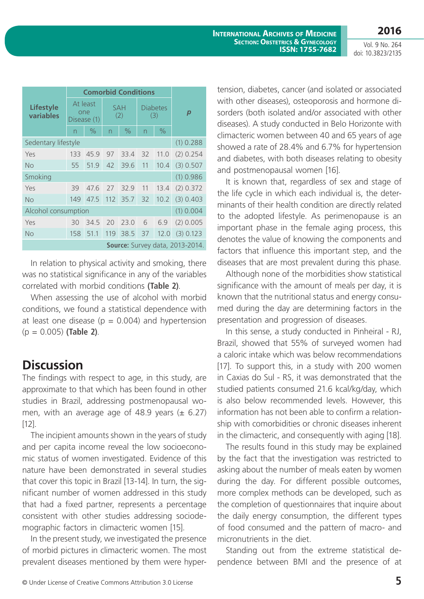**2016**

Vol. 9 No. 264 doi: 10.3823/2135

|                                 | <b>Comorbid Conditions</b>     |               |                          |      |                        |      |           |  |
|---------------------------------|--------------------------------|---------------|--------------------------|------|------------------------|------|-----------|--|
| <b>Lifestyle</b><br>variables   | At least<br>one<br>Disease (1) |               | <b>SAH</b><br>(2)        |      | <b>Diabetes</b><br>(3) |      | p         |  |
|                                 | $\overline{\phantom{0}}$       | $\frac{0}{0}$ | $\overline{\phantom{0}}$ | $\%$ | n                      | $\%$ |           |  |
| Sedentary lifestyle             | (1) 0.288                      |               |                          |      |                        |      |           |  |
| Yes                             | 133                            | 45.9          | 97                       | 33.4 | 32                     | 11.0 | (2) 0.254 |  |
| No                              | 55                             | 51.9          | 42                       | 39.6 | 11                     | 10.4 | (3) 0.507 |  |
| Smoking                         |                                |               |                          |      |                        |      | (1) 0.986 |  |
| Yes                             | 39                             | 47.6          | 27                       | 32.9 | 11                     | 13.4 | (2) 0.372 |  |
| No                              | 149                            | 47.5          | 112                      | 35.7 | 32                     | 10.2 | (3) 0.403 |  |
| Alcohol consumption             |                                |               |                          |      |                        |      | (1) 0.004 |  |
| Yes                             | 30                             | 34.5          | 20                       | 23.0 | 6                      | 6.9  | (2) 0.005 |  |
| <b>No</b>                       | 158                            | 51.1          | 119                      | 38.5 | 37                     | 12.0 | (3) 0.123 |  |
| Source: Survey data, 2013-2014. |                                |               |                          |      |                        |      |           |  |

In relation to physical activity and smoking, there was no statistical significance in any of the variables correlated with morbid conditions **(Table 2)**.

When assessing the use of alcohol with morbid conditions, we found a statistical dependence with at least one disease ( $p = 0.004$ ) and hypertension (p = 0.005) **(Table 2)**.

## **Discussion**

The findings with respect to age, in this study, are approximate to that which has been found in other studies in Brazil, addressing postmenopausal women, with an average age of 48.9 years  $(\pm 6.27)$ [12].

The incipient amounts shown in the years of study and per capita income reveal the low socioeconomic status of women investigated. Evidence of this nature have been demonstrated in several studies that cover this topic in Brazil [13-14]. In turn, the significant number of women addressed in this study that had a fixed partner, represents a percentage consistent with other studies addressing sociodemographic factors in climacteric women [15].

In the present study, we investigated the presence of morbid pictures in climacteric women. The most prevalent diseases mentioned by them were hyper-

tension, diabetes, cancer (and isolated or associated with other diseases), osteoporosis and hormone disorders (both isolated and/or associated with other diseases). A study conducted in Belo Horizonte with climacteric women between 40 and 65 years of age showed a rate of 28.4% and 6.7% for hypertension and diabetes, with both diseases relating to obesity and postmenopausal women [16].

It is known that, regardless of sex and stage of the life cycle in which each individual is, the determinants of their health condition are directly related to the adopted lifestyle. As perimenopause is an important phase in the female aging process, this denotes the value of knowing the components and factors that influence this important step, and the diseases that are most prevalent during this phase.

Although none of the morbidities show statistical significance with the amount of meals per day, it is known that the nutritional status and energy consumed during the day are determining factors in the presentation and progression of diseases.

In this sense, a study conducted in Pinheiral - RJ, Brazil, showed that 55% of surveyed women had a caloric intake which was below recommendations [17]. To support this, in a study with 200 women in Caxias do Sul - RS, it was demonstrated that the studied patients consumed 21.6 kcal/kg/day, which is also below recommended levels. However, this information has not been able to confirm a relationship with comorbidities or chronic diseases inherent in the climacteric, and consequently with aging [18].

The results found in this study may be explained by the fact that the investigation was restricted to asking about the number of meals eaten by women during the day. For different possible outcomes, more complex methods can be developed, such as the completion of questionnaires that inquire about the daily energy consumption, the different types of food consumed and the pattern of macro- and micronutrients in the diet.

Standing out from the extreme statistical dependence between BMI and the presence of at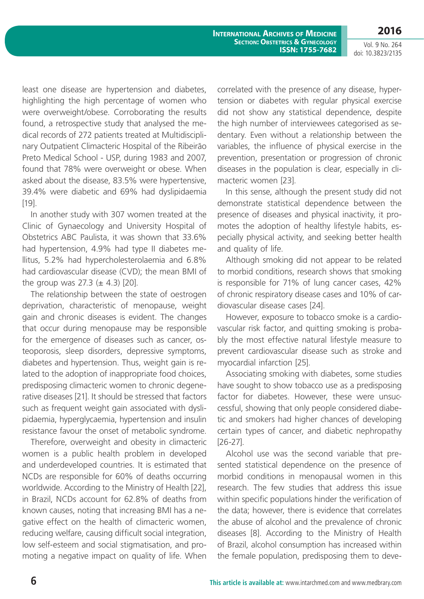**2016**

Vol. 9 No. 264 doi: 10.3823/2135

least one disease are hypertension and diabetes, highlighting the high percentage of women who were overweight/obese. Corroborating the results found, a retrospective study that analysed the medical records of 272 patients treated at Multidisciplinary Outpatient Climacteric Hospital of the Ribeirão Preto Medical School - USP, during 1983 and 2007, found that 78% were overweight or obese. When asked about the disease, 83.5% were hypertensive, 39.4% were diabetic and 69% had dyslipidaemia [19].

In another study with 307 women treated at the Clinic of Gynaecology and University Hospital of Obstetrics ABC Paulista, it was shown that 33.6% had hypertension, 4.9% had type II diabetes mellitus, 5.2% had hypercholesterolaemia and 6.8% had cardiovascular disease (CVD); the mean BMI of the group was  $27.3 \ (\pm 4.3)$  [20].

The relationship between the state of oestrogen deprivation, characteristic of menopause, weight gain and chronic diseases is evident. The changes that occur during menopause may be responsible for the emergence of diseases such as cancer, osteoporosis, sleep disorders, depressive symptoms, diabetes and hypertension. Thus, weight gain is related to the adoption of inappropriate food choices, predisposing climacteric women to chronic degenerative diseases [21]. It should be stressed that factors such as frequent weight gain associated with dyslipidaemia, hyperglycaemia, hypertension and insulin resistance favour the onset of metabolic syndrome.

Therefore, overweight and obesity in climacteric women is a public health problem in developed and underdeveloped countries. It is estimated that NCDs are responsible for 60% of deaths occurring worldwide. According to the Ministry of Health [22], in Brazil, NCDs account for 62.8% of deaths from known causes, noting that increasing BMI has a negative effect on the health of climacteric women, reducing welfare, causing difficult social integration, low self-esteem and social stigmatisation, and promoting a negative impact on quality of life. When

correlated with the presence of any disease, hypertension or diabetes with regular physical exercise did not show any statistical dependence, despite the high number of interviewees categorised as sedentary. Even without a relationship between the variables, the influence of physical exercise in the prevention, presentation or progression of chronic diseases in the population is clear, especially in climacteric women [23].

In this sense, although the present study did not demonstrate statistical dependence between the presence of diseases and physical inactivity, it promotes the adoption of healthy lifestyle habits, especially physical activity, and seeking better health and quality of life.

Although smoking did not appear to be related to morbid conditions, research shows that smoking is responsible for 71% of lung cancer cases, 42% of chronic respiratory disease cases and 10% of cardiovascular disease cases [24].

However, exposure to tobacco smoke is a cardiovascular risk factor, and quitting smoking is probably the most effective natural lifestyle measure to prevent cardiovascular disease such as stroke and myocardial infarction [25].

Associating smoking with diabetes, some studies have sought to show tobacco use as a predisposing factor for diabetes. However, these were unsuccessful, showing that only people considered diabetic and smokers had higher chances of developing certain types of cancer, and diabetic nephropathy [26-27].

Alcohol use was the second variable that presented statistical dependence on the presence of morbid conditions in menopausal women in this research. The few studies that address this issue within specific populations hinder the verification of the data; however, there is evidence that correlates the abuse of alcohol and the prevalence of chronic diseases [8]. According to the Ministry of Health of Brazil, alcohol consumption has increased within the female population, predisposing them to deve-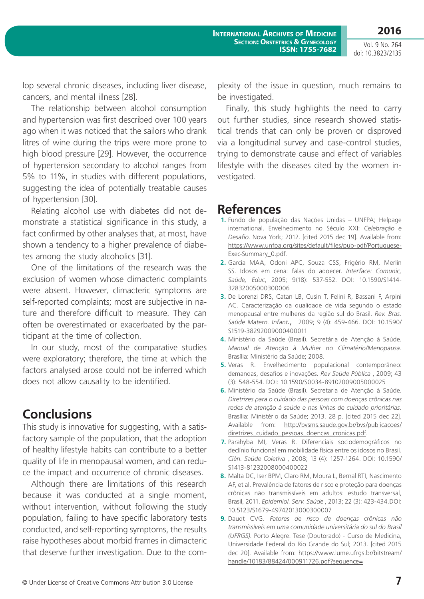Vol. 9 No. 264 doi: 10.3823/2135

lop several chronic diseases, including liver disease, cancers, and mental illness [28].

The relationship between alcohol consumption and hypertension was first described over 100 years ago when it was noticed that the sailors who drank litres of wine during the trips were more prone to high blood pressure [29]. However, the occurrence of hypertension secondary to alcohol ranges from 5% to 11%, in studies with different populations, suggesting the idea of potentially treatable causes of hypertension [30].

Relating alcohol use with diabetes did not demonstrate a statistical significance in this study, a fact confirmed by other analyses that, at most, have shown a tendency to a higher prevalence of diabetes among the study alcoholics [31].

One of the limitations of the research was the exclusion of women whose climacteric complaints were absent. However, climacteric symptoms are self-reported complaints; most are subjective in nature and therefore difficult to measure. They can often be overestimated or exacerbated by the participant at the time of collection.

In our study, most of the comparative studies were exploratory; therefore, the time at which the factors analysed arose could not be inferred which does not allow causality to be identified.

# **Conclusions**

This study is innovative for suggesting, with a satisfactory sample of the population, that the adoption of healthy lifestyle habits can contribute to a better quality of life in menopausal women, and can reduce the impact and occurrence of chronic diseases.

Although there are limitations of this research because it was conducted at a single moment, without intervention, without following the study population, failing to have specific laboratory tests conducted, and self-reporting symptoms, the results raise hypotheses about morbid frames in climacteric that deserve further investigation. Due to the complexity of the issue in question, much remains to be investigated.

Finally, this study highlights the need to carry out further studies, since research showed statistical trends that can only be proven or disproved via a longitudinal survey and case-control studies, trying to demonstrate cause and effect of variables lifestyle with the diseases cited by the women investigated.

#### **References**

- **1.** Fundo de população das Nações Unidas UNFPA; Helpage international. Envelhecimento no Século XXI: *Celebração e Desafio*. Nova York; 2012. [cited 2015 dec 19]. Available from: https://www.unfpa.org/sites/default/files/pub-pdf/Portuguese-Exec-Summary\_0.pdf.
- **2.** Garcia MAA, Odoni APC, Souza CSS, Frigério RM, Merlin SS. Idosos em cena: falas do adoecer. *Interface: Comunic, Saúde, Educ*, 2005; 9(18): 537-552. DOI: 10.1590/S1414- 32832005000300006
- **3.** De Lorenzi DRS, Catan LB, Cusin T, Felini R, Bassani F, Arpini AC. Caracterização da qualidade de vida segundo o estado menopausal entre mulheres da região sul do Brasil. *Rev. Bras. Saúde Matern. Infant*., 2009; 9 (4): 459-466. DOI: 10.1590/ S1519-38292009000400011
- **4.** Ministério da Saúde (Brasil). Secretária de Atenção à Saúde. *Manual de Atenção à Mulher no Climatério/Menopausa.*  Brasília: Ministério da Saúde; 2008.
- **5.** Veras R. Envelhecimento populacional contemporâneo: demandas, desafios e inovações. *Rev Saúde Pública* , 2009; 43 (3): 548-554. DOI: 10.1590/S0034-89102009005000025
- **6.** Ministério da Saúde (Brasil). Secretaria de Atenção à Saúde. *Diretrizes para o cuidado das pessoas com doenças crônicas nas redes de atenção à saúde e nas linhas de cuidado prioritárias.* Brasília: Ministério da Saúde; 2013. 28 p. [cited 2015 dec 22]. Available from: http://bvsms.saude.gov.br/bvs/publicacoes/ diretrizes\_cuidado\_pessoas\_doencas\_cronicas.pdf.
- **7.** Parahyba MI, Veras R. Diferenciais sociodemográficos no declínio funcional em mobilidade física entre os idosos no Brasil. *Ciên. Saúde Coletiva* , 2008; 13 (4): 1257-1264. DOI: 10.1590/ S1413-81232008000400022
- **8.** Malta DC, Iser BPM, Claro RM, Moura L, Bernal RTI, Nascimento AF, et al. Prevalência de fatores de risco e proteção para doenças crônicas não transmissíveis em adultos: estudo transversal, Brasil, 2011. *Epidemiol. Serv. Saúde* , 2013; 22 (3): 423-434.DOI: 10.5123/S1679-49742013000300007
- **9.** Daudt CVG. *Fatores de risco de doenças crônicas não transmissíveis em uma comunidade universitária do sul do Brasil (UFRGS)*. Porto Alegre. Tese (Doutorado) - Curso de Medicina, Universidade Federal do Rio Grande do Sul; 2013. [cited 2015 dec 20]. Available from: https://www.lume.ufrgs.br/bitstream/ handle/10183/88424/000911726.pdf?sequence=